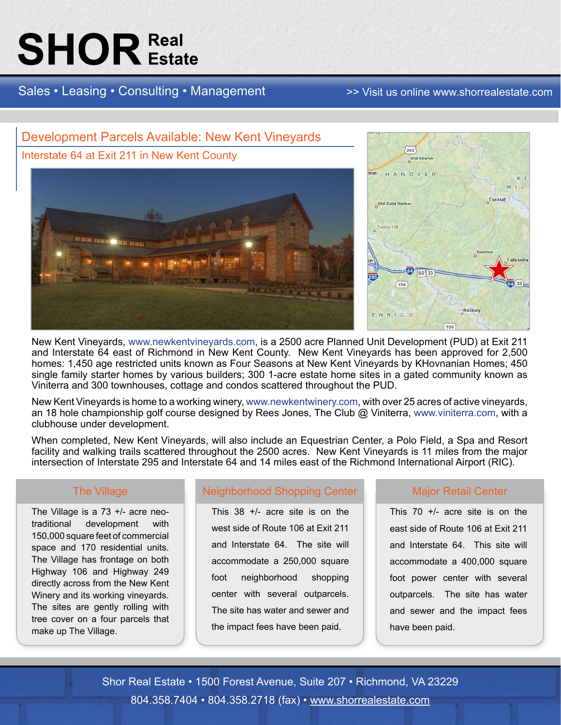# **SHOR** Estate

Sales • Leasing • Consulting • Management [>> Visit us online www.shorrealestate.com](http://www.shorrealestate.com)



New Kent Vineyards, [www.newkentvineyards.com](http://www.newkentvineyards.com), is a 2500 acre Planned Unit Development (PUD) at Exit 211 and Interstate 64 east of Richmond in New Kent County. New Kent Vineyards has been approved for 2,500 homes: 1,450 age restricted units known as Four Seasons at New Kent Vineyards by KHovnanian Homes; 450 single family starter homes by various builders; 300 1-acre estate home sites in a gated community known as Viniterra and 300 townhouses, cottage and condos scattered throughout the PUD.

New Kent Vineyards is home to a working winery, <www.newkentwinery.com>, with over 25 acres of active vineyards, an 18 hole championship golf course designed by Rees Jones, The Club @ Viniterra, <www.viniterra.com>, with a clubhouse under development.

When completed, New Kent Vineyards, will also include an Equestrian Center, a Polo Field, a Spa and Resort facility and walking trails scattered throughout the 2500 acres. New Kent Vineyards is 11 miles from the major intersection of Interstate 295 and Interstate 64 and 14 miles east of the Richmond International Airport (RIC).

#### The Village

The Village is a 73 +/- acre neotraditional development with 150,000 square feet of commercial space and 170 residential units. The Village has frontage on both Highway 106 and Highway 249 directly across from the New Kent Winery and its working vineyards. The sites are gently rolling with tree cover on a four parcels that make up The Village.

### Neighborhood Shopping Center

This 38 +/- acre site is on the west side of Route 106 at Exit 211 and Interstate 64. The site will accommodate a 250,000 square foot neighborhood shopping center with several outparcels. The site has water and sewer and the impact fees have been paid.

#### Major Retail Center

This 70 +/- acre site is on the east side of Route 106 at Exit 211 and Interstate 64. This site will accommodate a 400,000 square foot power center with several outparcels. The site has water and sewer and the impact fees have been paid.

Shor Real Estate • 1500 Forest Avenue, Suite 207 • Richmond, VA 23229 804.358.7404 • 804.358.2718 (fax) • [www.shorrealestate.com](http://www.shorrealestate.com)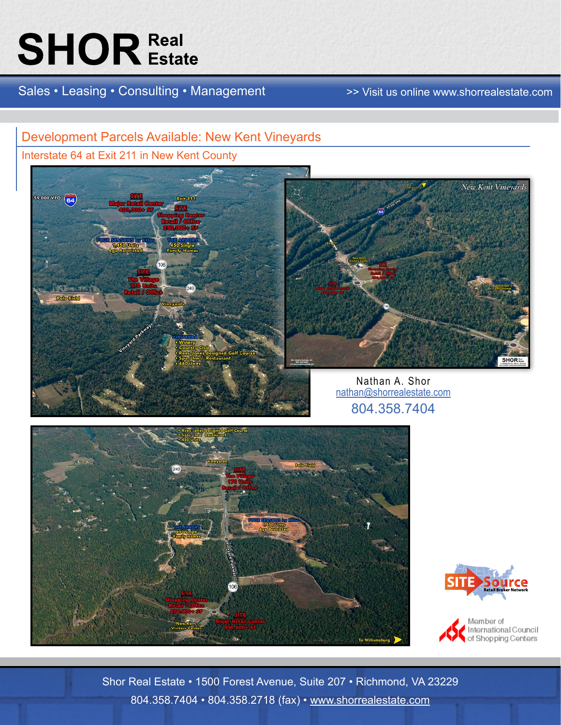# **SHOR Real**

Sales • Leasing • Consulting • Management >>> Visit us online www.shorrealestate.com

### Development Parcels Available: New Kent Vineyards

Interstate 64 at Exit 211 in New Kent County





Nathan A. Shor [nathan@shorrealestate.com](mailto:nathan@shorrealestate.com) 804.358.7404





Member of<br>International Council<br>of Shopping Centers

Shor Real Estate • 1500 Forest Avenue, Suite 207 • Richmond, VA 23229 804.358.7404 • 804.358.2718 (fax) • [www.shorrealestate.com](http://www.shorrealestate.com)